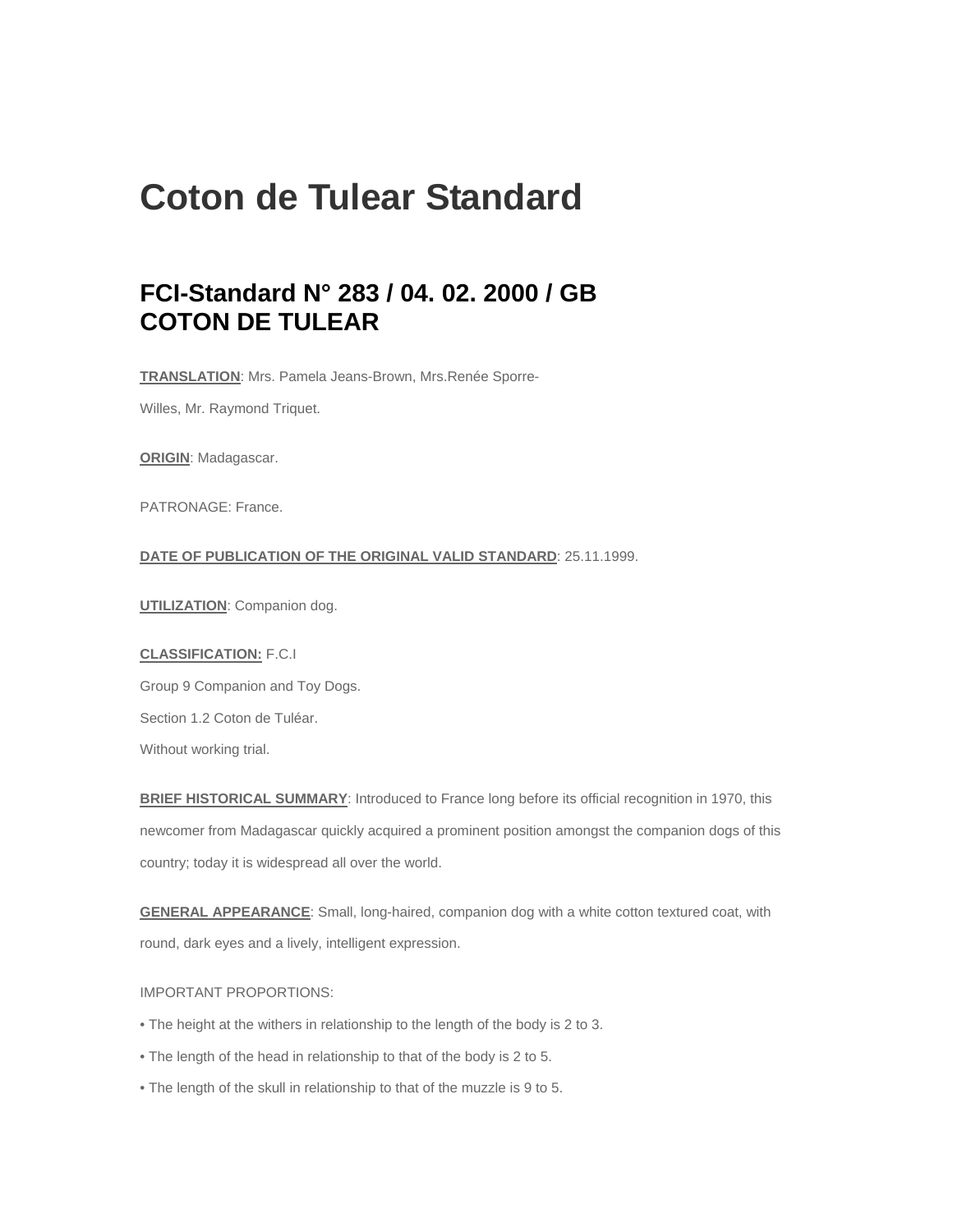# **Coton de Tulear Standard**

# **FCI-Standard N° 283 / 04. 02. 2000 / GB COTON DE TULEAR**

**TRANSLATION**: Mrs. Pamela Jeans-Brown, Mrs.Renée Sporre-

Willes, Mr. Raymond Triquet.

**ORIGIN**: Madagascar.

PATRONAGE: France.

# **DATE OF PUBLICATION OF THE ORIGINAL VALID STANDARD**: 25.11.1999.

**UTILIZATION**: Companion dog.

#### **CLASSIFICATION:** F.C.I

Group 9 Companion and Toy Dogs. Section 1.2 Coton de Tuléar. Without working trial.

**BRIEF HISTORICAL SUMMARY**: Introduced to France long before its official recognition in 1970, this newcomer from Madagascar quickly acquired a prominent position amongst the companion dogs of this country; today it is widespread all over the world.

**GENERAL APPEARANCE**: Small, long-haired, companion dog with a white cotton textured coat, with round, dark eyes and a lively, intelligent expression.

# IMPORTANT PROPORTIONS:

- The height at the withers in relationship to the length of the body is 2 to 3.
- The length of the head in relationship to that of the body is 2 to 5.
- The length of the skull in relationship to that of the muzzle is 9 to 5.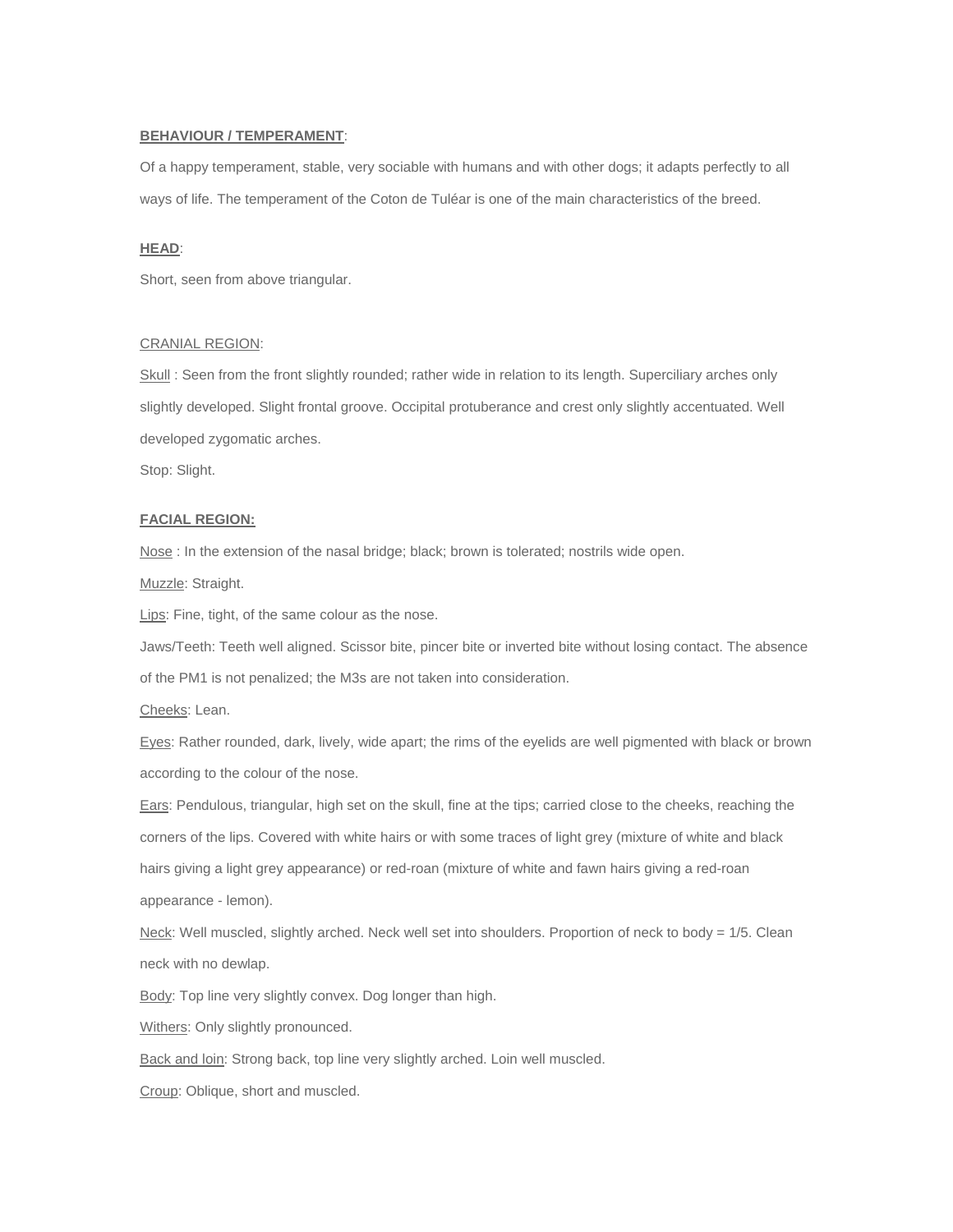#### **BEHAVIOUR / TEMPERAMENT**:

Of a happy temperament, stable, very sociable with humans and with other dogs; it adapts perfectly to all ways of life. The temperament of the Coton de Tuléar is one of the main characteristics of the breed.

# **HEAD**:

Short, seen from above triangular.

#### CRANIAL REGION:

Skull : Seen from the front slightly rounded; rather wide in relation to its length. Superciliary arches only slightly developed. Slight frontal groove. Occipital protuberance and crest only slightly accentuated. Well developed zygomatic arches.

Stop: Slight.

#### **FACIAL REGION:**

Nose : In the extension of the nasal bridge; black; brown is tolerated; nostrils wide open.

Muzzle: Straight.

Lips: Fine, tight, of the same colour as the nose.

Jaws/Teeth: Teeth well aligned. Scissor bite, pincer bite or inverted bite without losing contact. The absence

of the PM1 is not penalized; the M3s are not taken into consideration.

Cheeks: Lean.

Eyes: Rather rounded, dark, lively, wide apart; the rims of the eyelids are well pigmented with black or brown according to the colour of the nose.

Ears: Pendulous, triangular, high set on the skull, fine at the tips; carried close to the cheeks, reaching the corners of the lips. Covered with white hairs or with some traces of light grey (mixture of white and black hairs giving a light grey appearance) or red-roan (mixture of white and fawn hairs giving a red-roan appearance - lemon).

Neck: Well muscled, slightly arched. Neck well set into shoulders. Proportion of neck to body = 1/5. Clean neck with no dewlap.

Body: Top line very slightly convex. Dog longer than high.

Withers: Only slightly pronounced.

Back and loin: Strong back, top line very slightly arched. Loin well muscled.

Croup: Oblique, short and muscled.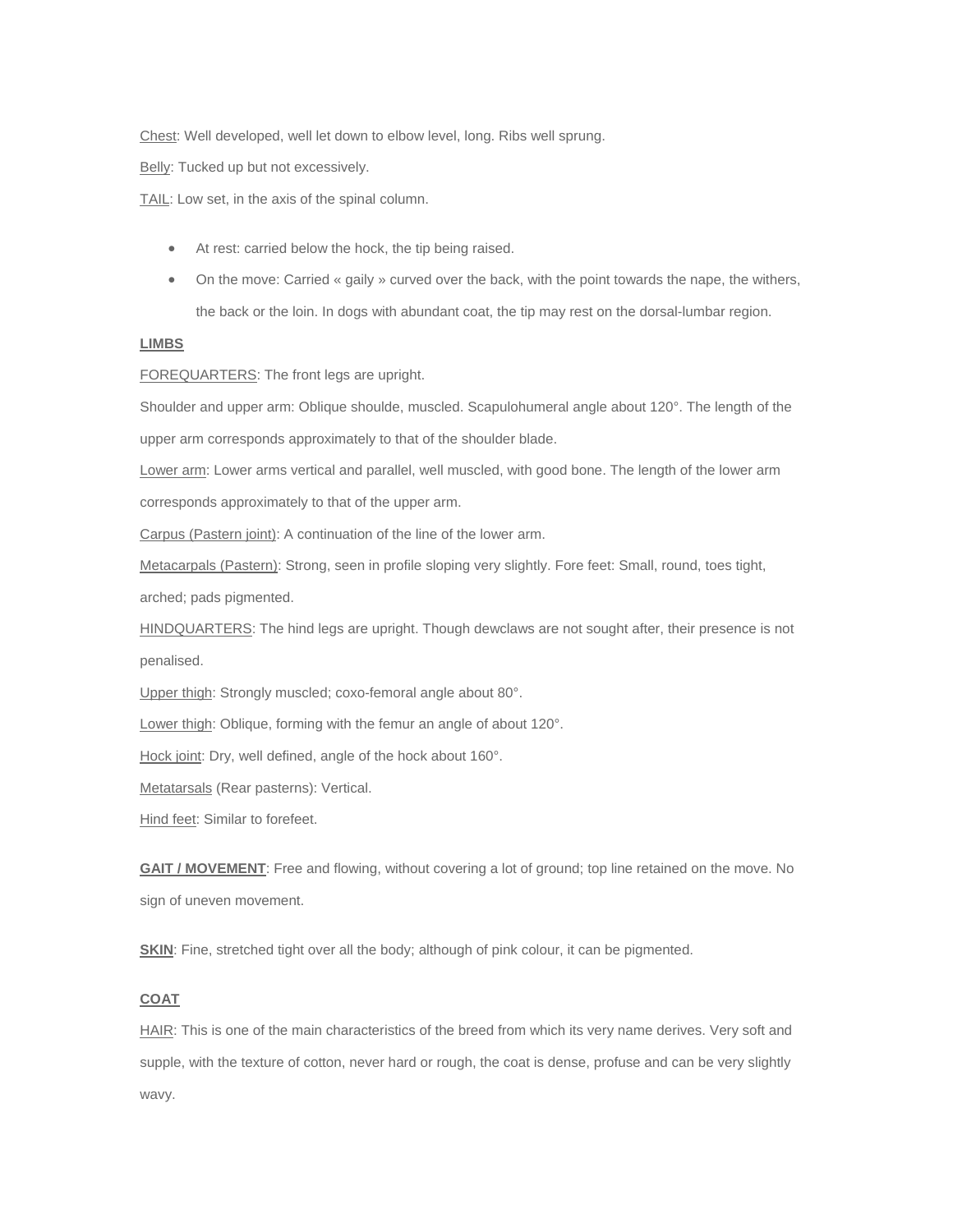Chest: Well developed, well let down to elbow level, long. Ribs well sprung.

Belly: Tucked up but not excessively.

TAIL: Low set, in the axis of the spinal column.

- At rest: carried below the hock, the tip being raised.
- On the move: Carried « gaily » curved over the back, with the point towards the nape, the withers, the back or the loin. In dogs with abundant coat, the tip may rest on the dorsal-lumbar region.

# **LIMBS**

FOREQUARTERS: The front legs are upright.

Shoulder and upper arm: Oblique shoulde, muscled. Scapulohumeral angle about 120°. The length of the upper arm corresponds approximately to that of the shoulder blade.

Lower arm: Lower arms vertical and parallel, well muscled, with good bone. The length of the lower arm corresponds approximately to that of the upper arm.

Carpus (Pastern joint): A continuation of the line of the lower arm.

Metacarpals (Pastern): Strong, seen in profile sloping very slightly. Fore feet: Small, round, toes tight,

arched; pads pigmented.

HINDQUARTERS: The hind legs are upright. Though dewclaws are not sought after, their presence is not penalised.

Upper thigh: Strongly muscled; coxo-femoral angle about 80°.

Lower thigh: Oblique, forming with the femur an angle of about 120°.

Hock joint: Dry, well defined, angle of the hock about 160°.

Metatarsals (Rear pasterns): Vertical.

Hind feet: Similar to forefeet.

**GAIT / MOVEMENT**: Free and flowing, without covering a lot of ground; top line retained on the move. No sign of uneven movement.

**SKIN:** Fine, stretched tight over all the body; although of pink colour, it can be pigmented.

# **COAT**

HAIR: This is one of the main characteristics of the breed from which its very name derives. Very soft and supple, with the texture of cotton, never hard or rough, the coat is dense, profuse and can be very slightly wavy.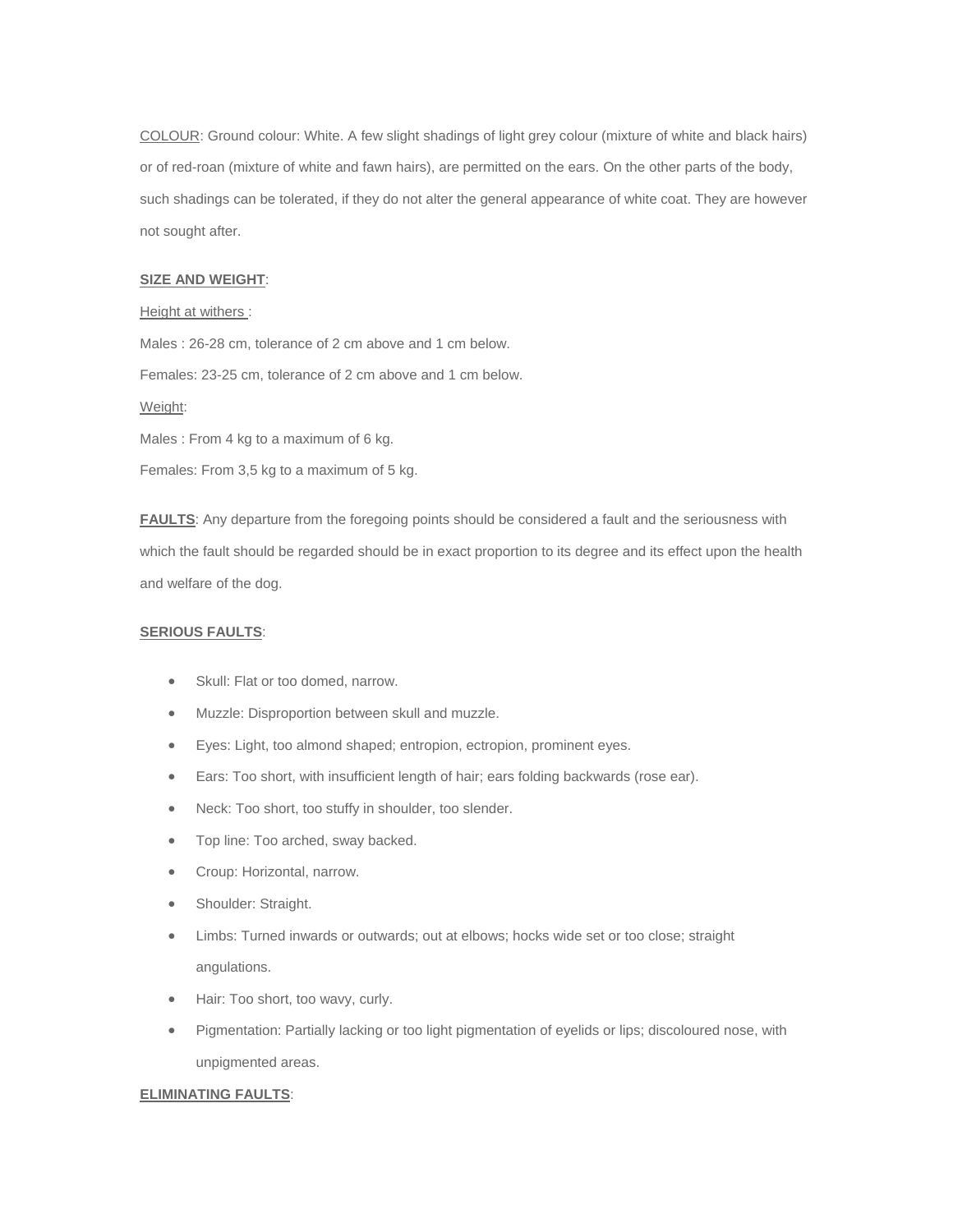COLOUR: Ground colour: White. A few slight shadings of light grey colour (mixture of white and black hairs) or of red-roan (mixture of white and fawn hairs), are permitted on the ears. On the other parts of the body, such shadings can be tolerated, if they do not alter the general appearance of white coat. They are however not sought after.

#### **SIZE AND WEIGHT**:

#### Height at withers :

Males : 26-28 cm, tolerance of 2 cm above and 1 cm below. Females: 23-25 cm, tolerance of 2 cm above and 1 cm below. Weight: Males : From 4 kg to a maximum of 6 kg.

**FAULTS**: Any departure from the foregoing points should be considered a fault and the seriousness with which the fault should be regarded should be in exact proportion to its degree and its effect upon the health

#### **SERIOUS FAULTS**:

and welfare of the dog.

• Skull: Flat or too domed, narrow.

Females: From 3,5 kg to a maximum of 5 kg.

- Muzzle: Disproportion between skull and muzzle.
- Eyes: Light, too almond shaped; entropion, ectropion, prominent eyes.
- Ears: Too short, with insufficient length of hair; ears folding backwards (rose ear).
- Neck: Too short, too stuffy in shoulder, too slender.
- Top line: Too arched, sway backed.
- Croup: Horizontal, narrow.
- Shoulder: Straight.
- Limbs: Turned inwards or outwards; out at elbows; hocks wide set or too close; straight angulations.
- Hair: Too short, too wavy, curly.
- Pigmentation: Partially lacking or too light pigmentation of eyelids or lips; discoloured nose, with unpigmented areas.

#### **ELIMINATING FAULTS**: